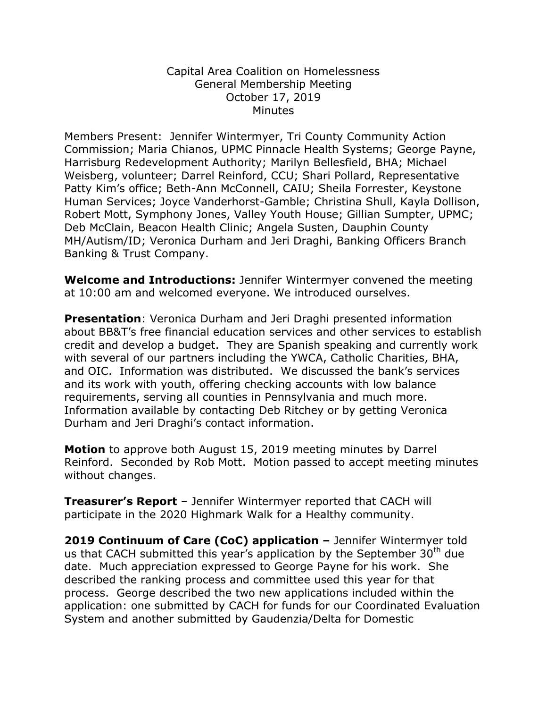## Capital Area Coalition on Homelessness General Membership Meeting October 17, 2019 **Minutes**

Members Present: Jennifer Wintermyer, Tri County Community Action Commission; Maria Chianos, UPMC Pinnacle Health Systems; George Payne, Harrisburg Redevelopment Authority; Marilyn Bellesfield, BHA; Michael Weisberg, volunteer; Darrel Reinford, CCU; Shari Pollard, Representative Patty Kim's office; Beth-Ann McConnell, CAIU; Sheila Forrester, Keystone Human Services; Joyce Vanderhorst-Gamble; Christina Shull, Kayla Dollison, Robert Mott, Symphony Jones, Valley Youth House; Gillian Sumpter, UPMC; Deb McClain, Beacon Health Clinic; Angela Susten, Dauphin County MH/Autism/ID; Veronica Durham and Jeri Draghi, Banking Officers Branch Banking & Trust Company.

**Welcome and Introductions:** Jennifer Wintermyer convened the meeting at 10:00 am and welcomed everyone. We introduced ourselves.

**Presentation**: Veronica Durham and Jeri Draghi presented information about BB&T's free financial education services and other services to establish credit and develop a budget. They are Spanish speaking and currently work with several of our partners including the YWCA, Catholic Charities, BHA, and OIC. Information was distributed. We discussed the bank's services and its work with youth, offering checking accounts with low balance requirements, serving all counties in Pennsylvania and much more. Information available by contacting Deb Ritchey or by getting Veronica Durham and Jeri Draghi's contact information.

**Motion** to approve both August 15, 2019 meeting minutes by Darrel Reinford. Seconded by Rob Mott. Motion passed to accept meeting minutes without changes.

**Treasurer's Report** – Jennifer Wintermyer reported that CACH will participate in the 2020 Highmark Walk for a Healthy community.

**2019 Continuum of Care (CoC) application –** Jennifer Wintermyer told us that CACH submitted this year's application by the September  $30<sup>th</sup>$  due date. Much appreciation expressed to George Payne for his work. She described the ranking process and committee used this year for that process. George described the two new applications included within the application: one submitted by CACH for funds for our Coordinated Evaluation System and another submitted by Gaudenzia/Delta for Domestic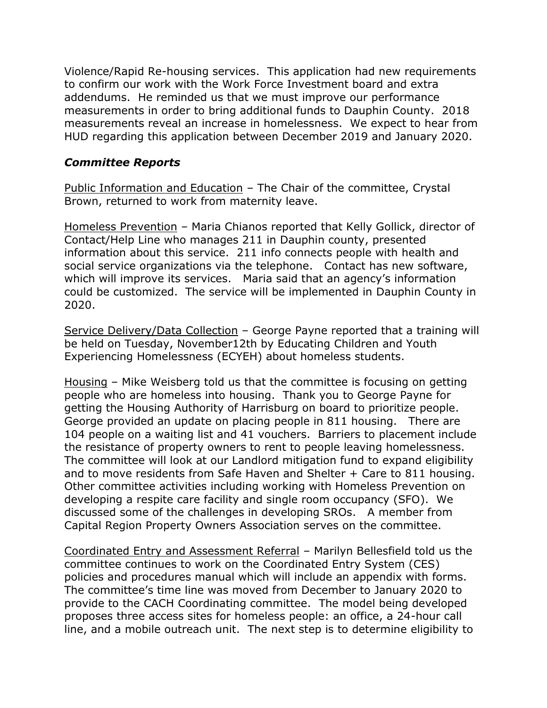Violence/Rapid Re-housing services. This application had new requirements to confirm our work with the Work Force Investment board and extra addendums. He reminded us that we must improve our performance measurements in order to bring additional funds to Dauphin County. 2018 measurements reveal an increase in homelessness. We expect to hear from HUD regarding this application between December 2019 and January 2020.

## *Committee Reports*

Public Information and Education – The Chair of the committee, Crystal Brown, returned to work from maternity leave.

Homeless Prevention *–* Maria Chianos reported that Kelly Gollick, director of Contact/Help Line who manages 211 in Dauphin county, presented information about this service. 211 info connects people with health and social service organizations via the telephone. Contact has new software, which will improve its services. Maria said that an agency's information could be customized. The service will be implemented in Dauphin County in 2020.

Service Delivery/Data Collection – George Payne reported that a training will be held on Tuesday, November12th by Educating Children and Youth Experiencing Homelessness (ECYEH) about homeless students.

Housing – Mike Weisberg told us that the committee is focusing on getting people who are homeless into housing. Thank you to George Payne for getting the Housing Authority of Harrisburg on board to prioritize people. George provided an update on placing people in 811 housing. There are 104 people on a waiting list and 41 vouchers. Barriers to placement include the resistance of property owners to rent to people leaving homelessness. The committee will look at our Landlord mitigation fund to expand eligibility and to move residents from Safe Haven and Shelter + Care to 811 housing. Other committee activities including working with Homeless Prevention on developing a respite care facility and single room occupancy (SFO). We discussed some of the challenges in developing SROs. A member from Capital Region Property Owners Association serves on the committee.

Coordinated Entry and Assessment Referral – Marilyn Bellesfield told us the committee continues to work on the Coordinated Entry System (CES) policies and procedures manual which will include an appendix with forms. The committee's time line was moved from December to January 2020 to provide to the CACH Coordinating committee. The model being developed proposes three access sites for homeless people: an office, a 24-hour call line, and a mobile outreach unit. The next step is to determine eligibility to